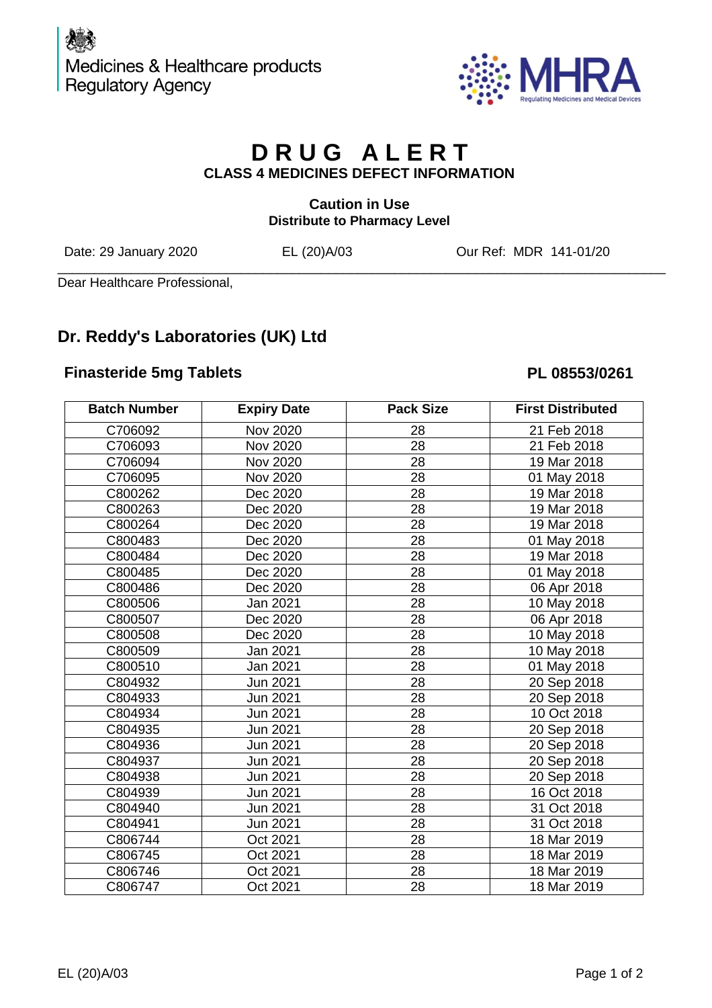

# **D R U G A L E R T CLASS 4 MEDICINES DEFECT INFORMATION**

## **Caution in Use Distribute to Pharmacy Level**

Date: 29 January 2020 EL (20)A/03 Our Ref: MDR 141-01/20

\_\_\_\_\_\_\_\_\_\_\_\_\_\_\_\_\_\_\_\_\_\_\_\_\_\_\_\_\_\_\_\_\_\_\_\_\_\_\_\_\_\_\_\_\_\_\_\_\_\_\_\_\_\_\_\_\_\_\_\_\_\_\_\_\_\_\_\_\_\_\_\_\_\_\_\_\_\_\_\_\_\_\_ Dear Healthcare Professional,

# **Dr. Reddy's Laboratories (UK) Ltd**

## **Finasteride 5mg Tablets PL 08553/0261**

| <b>Batch Number</b> | <b>Expiry Date</b> | <b>Pack Size</b> | <b>First Distributed</b> |
|---------------------|--------------------|------------------|--------------------------|
| C706092             | <b>Nov 2020</b>    | 28               | 21 Feb 2018              |
| C706093             | Nov 2020           | 28               | 21 Feb 2018              |
| C706094             | Nov 2020           | 28               | 19 Mar 2018              |
| C706095             | Nov 2020           | 28               | 01 May 2018              |
| C800262             | Dec 2020           | 28               | 19 Mar 2018              |
| C800263             | Dec 2020           | 28               | 19 Mar 2018              |
| C800264             | Dec 2020           | 28               | 19 Mar 2018              |
| C800483             | Dec 2020           | 28               | 01 May 2018              |
| C800484             | Dec 2020           | 28               | 19 Mar 2018              |
| C800485             | Dec 2020           | 28               | 01 May 2018              |
| C800486             | Dec 2020           | 28               | 06 Apr 2018              |
| C800506             | Jan 2021           | 28               | 10 May 2018              |
| C800507             | Dec 2020           | 28               | 06 Apr 2018              |
| C800508             | Dec 2020           | 28               | 10 May 2018              |
| C800509             | Jan 2021           | 28               | 10 May 2018              |
| C800510             | Jan 2021           | 28               | 01 May 2018              |
| C804932             | Jun 2021           | 28               | 20 Sep 2018              |
| C804933             | Jun 2021           | 28               | 20 Sep 2018              |
| C804934             | Jun 2021           | 28               | 10 Oct 2018              |
| C804935             | Jun 2021           | 28               | 20 Sep 2018              |
| C804936             | Jun 2021           | 28               | 20 Sep 2018              |
| C804937             | Jun 2021           | 28               | 20 Sep 2018              |
| C804938             | Jun 2021           | 28               | 20 Sep 2018              |
| C804939             | Jun 2021           | 28               | 16 Oct 2018              |
| C804940             | Jun 2021           | 28               | 31 Oct 2018              |
| C804941             | Jun 2021           | 28               | 31 Oct 2018              |
| C806744             | Oct 2021           | 28               | 18 Mar 2019              |
| C806745             | Oct 2021           | 28               | 18 Mar 2019              |
| C806746             | Oct 2021           | 28               | 18 Mar 2019              |
| C806747             | Oct 2021           | 28               | 18 Mar 2019              |